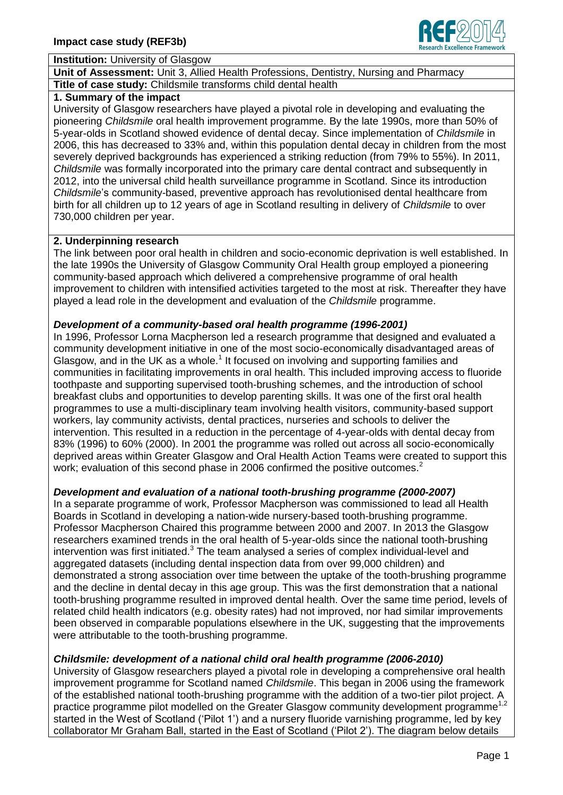

## **Institution:** University of Glasgow

**Unit of Assessment:** Unit 3, Allied Health Professions, Dentistry, Nursing and Pharmacy **Title of case study:** Childsmile transforms child dental health

## **1. Summary of the impact**

University of Glasgow researchers have played a pivotal role in developing and evaluating the pioneering *Childsmile* oral health improvement programme. By the late 1990s, more than 50% of 5-year-olds in Scotland showed evidence of dental decay. Since implementation of *Childsmile* in 2006, this has decreased to 33% and, within this population dental decay in children from the most severely deprived backgrounds has experienced a striking reduction (from 79% to 55%). In 2011, *Childsmile* was formally incorporated into the primary care dental contract and subsequently in 2012, into the universal child health surveillance programme in Scotland. Since its introduction *Childsmile*'s community-based, preventive approach has revolutionised dental healthcare from birth for all children up to 12 years of age in Scotland resulting in delivery of *Childsmile* to over 730,000 children per year.

## **2. Underpinning research**

The link between poor oral health in children and socio-economic deprivation is well established. In the late 1990s the University of Glasgow Community Oral Health group employed a pioneering community-based approach which delivered a comprehensive programme of oral health improvement to children with intensified activities targeted to the most at risk. Thereafter they have played a lead role in the development and evaluation of the *Childsmile* programme.

## *Development of a community-based oral health programme (1996-2001)*

In 1996, Professor Lorna Macpherson led a research programme that designed and evaluated a community development initiative in one of the most socio-economically disadvantaged areas of Glasgow, and in the UK as a whole.<sup>1</sup> It focused on involving and supporting families and communities in facilitating improvements in oral health. This included improving access to fluoride toothpaste and supporting supervised tooth-brushing schemes, and the introduction of school breakfast clubs and opportunities to develop parenting skills. It was one of the first oral health programmes to use a multi-disciplinary team involving health visitors, community-based support workers, lay community activists, dental practices, nurseries and schools to deliver the intervention. This resulted in a reduction in the percentage of 4-year-olds with dental decay from 83% (1996) to 60% (2000). In 2001 the programme was rolled out across all socio-economically deprived areas within Greater Glasgow and Oral Health Action Teams were created to support this work; evaluation of this second phase in 2006 confirmed the positive outcomes.<sup>2</sup>

## *Development and evaluation of a national tooth-brushing programme (2000-2007)*

In a separate programme of work, Professor Macpherson was commissioned to lead all Health Boards in Scotland in developing a nation-wide nursery-based tooth-brushing programme. Professor Macpherson Chaired this programme between 2000 and 2007. In 2013 the Glasgow researchers examined trends in the oral health of 5-year-olds since the national tooth-brushing intervention was first initiated. $3$  The team analysed a series of complex individual-level and aggregated datasets (including dental inspection data from over 99,000 children) and demonstrated a strong association over time between the uptake of the tooth-brushing programme and the decline in dental decay in this age group. This was the first demonstration that a national tooth-brushing programme resulted in improved dental health. Over the same time period, levels of related child health indicators (e.g. obesity rates) had not improved, nor had similar improvements been observed in comparable populations elsewhere in the UK, suggesting that the improvements were attributable to the tooth-brushing programme.

## *Childsmile: development of a national child oral health programme (2006-2010)*

University of Glasgow researchers played a pivotal role in developing a comprehensive oral health improvement programme for Scotland named *Childsmile*. This began in 2006 using the framework of the established national tooth-brushing programme with the addition of a two-tier pilot project. A practice programme pilot modelled on the Greater Glasgow community development programme<sup>1,2</sup> started in the West of Scotland ('Pilot 1') and a nursery fluoride varnishing programme, led by key collaborator Mr Graham Ball, started in the East of Scotland ('Pilot 2'). The diagram below details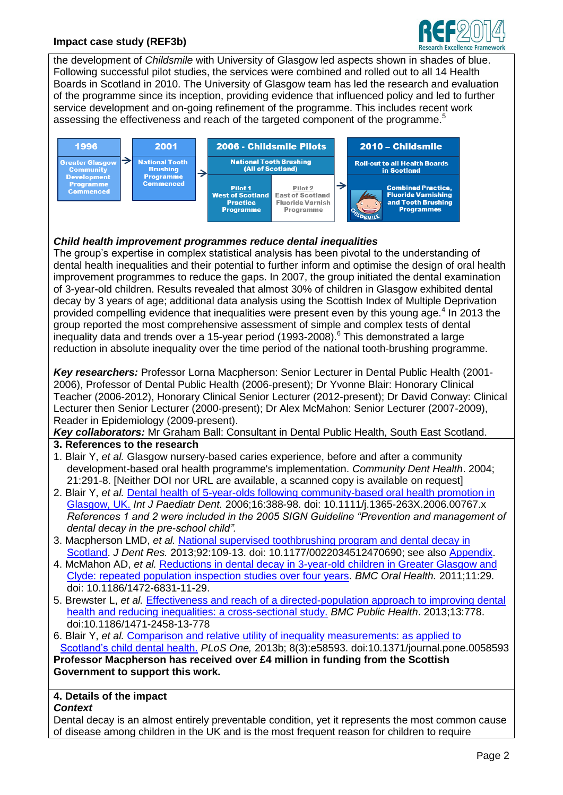## **Impact case study (REF3b)**



the development of *Childsmile* with University of Glasgow led aspects shown in shades of blue. Following successful pilot studies, the services were combined and rolled out to all 14 Health Boards in Scotland in 2010. The University of Glasgow team has led the research and evaluation of the programme since its inception, providing evidence that influenced policy and led to further service development and on-going refinement of the programme. This includes recent work assessing the effectiveness and reach of the targeted component of the programme.<sup>5</sup>



## *Child health improvement programmes reduce dental inequalities*

The group's expertise in complex statistical analysis has been pivotal to the understanding of dental health inequalities and their potential to further inform and optimise the design of oral health improvement programmes to reduce the gaps. In 2007, the group initiated the dental examination of 3-year-old children. Results revealed that almost 30% of children in Glasgow exhibited dental decay by 3 years of age; additional data analysis using the Scottish Index of Multiple Deprivation provided compelling evidence that inequalities were present even by this young age.<sup>4</sup> In 2013 the group reported the most comprehensive assessment of simple and complex tests of dental inequality data and trends over a 15-year period (1993-2008). <sup>6</sup> This demonstrated a large reduction in absolute inequality over the time period of the national tooth-brushing programme.

*Key researchers:* Professor Lorna Macpherson: Senior Lecturer in Dental Public Health (2001- 2006), Professor of Dental Public Health (2006-present); Dr Yvonne Blair: Honorary Clinical Teacher (2006-2012), Honorary Clinical Senior Lecturer (2012-present); Dr David Conway: Clinical Lecturer then Senior Lecturer (2000-present); Dr Alex McMahon: Senior Lecturer (2007-2009), Reader in Epidemiology (2009-present).

*Key collaborators:* Mr Graham Ball: Consultant in Dental Public Health, South East Scotland.

- **3. References to the research**
- 1. Blair Y, *et al.* Glasgow nursery-based caries experience, before and after a community development-based oral health programme's implementation. *Community Dent Health*. 2004; 21:291-8. [Neither DOI nor URL are available, a scanned copy is available on request]
- 2. Blair Y, *et al.* [Dental health of 5-year-olds following community-based oral health promotion in](http://onlinelibrary.wiley.com/doi/10.1111/j.1365-263X.2006.00767.x/pdf)  [Glasgow, UK.](http://onlinelibrary.wiley.com/doi/10.1111/j.1365-263X.2006.00767.x/pdf) *Int J Paediatr Dent.* 2006;16:388-98. doi: 10.1111/j.1365-263X.2006.00767.x *References 1 and 2 were included in the 2005 SIGN Guideline "Prevention and management of dental decay in the pre-school child".*
- 3. Macpherson LMD, *et al.* [National supervised toothbrushing program and dental decay in](http://jdr.sagepub.com/content/92/2/109.full.pdf+html)  [Scotland.](http://jdr.sagepub.com/content/92/2/109.full.pdf+html) *J Dent Res.* 2013;92:109-13. doi: 10.1177/0022034512470690; see also [Appendix.](http://jdr.sagepub.com/content/suppl/2012/12/17/0022034512470690.DC1/DS_10.1177_0022034512470690.pdf)
- 4. McMahon AD, *et al.* [Reductions in dental decay in 3-year-old children in Greater Glasgow and](http://www.biomedcentral.com/content/pdf/1472-6831-11-29.pdf)  [Clyde: repeated population inspection studies over four years.](http://www.biomedcentral.com/content/pdf/1472-6831-11-29.pdf) *BMC Oral Health.* 2011;11:29. doi: 10.1186/1472-6831-11-29.
- 5. Brewster L, *et al.* [Effectiveness and reach of a directed-population approach to improving dental](http://www.biomedcentral.com/content/pdf/1471-2458-13-778.pdf)  [health and reducing inequalities: a cross-sectional study.](http://www.biomedcentral.com/content/pdf/1471-2458-13-778.pdf) *BMC Public Health*. 2013;13:778. doi:10.1186/1471-2458-13-778
- 6. Blair Y, *et al.* Comparison and [relative utility of inequality measurements: as applied to](http://www.plosone.org/article/fetchObject.action?uri=info%3Adoi%2F10.1371%2Fjournal.pone.0058593&representation=PDF)  Scotland's [child dental health.](http://www.plosone.org/article/fetchObject.action?uri=info%3Adoi%2F10.1371%2Fjournal.pone.0058593&representation=PDF) *PLoS One,* 2013b; 8(3):e58593. doi:10.1371/journal.pone.0058593 **Professor Macpherson has received over £4 million in funding from the Scottish Government to support this work.**

# **4. Details of the impact**

#### *Context*

Dental decay is an almost entirely preventable condition, yet it represents the most common cause of disease among children in the UK and is the most frequent reason for children to require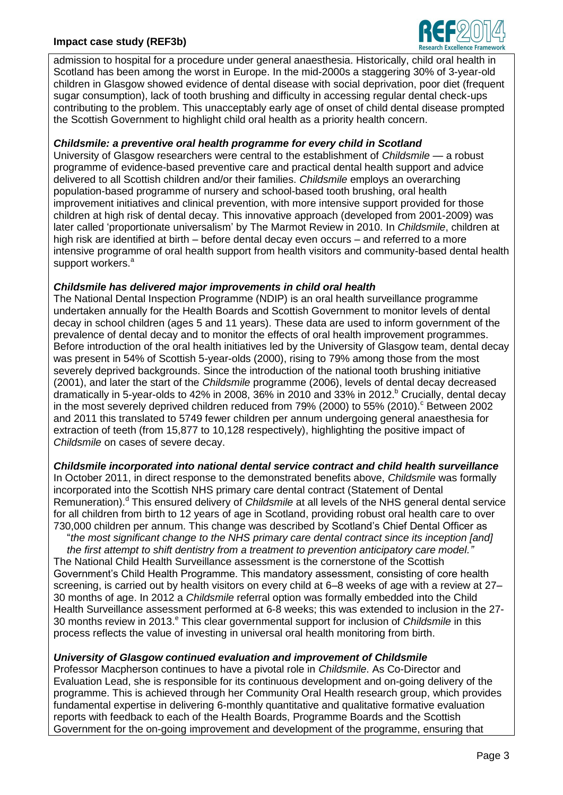## **Impact case study (REF3b)**



admission to hospital for a procedure under general anaesthesia. Historically, child oral health in Scotland has been among the worst in Europe. In the mid-2000s a staggering 30% of 3-year-old children in Glasgow showed evidence of dental disease with social deprivation, poor diet (frequent sugar consumption), lack of tooth brushing and difficulty in accessing regular dental check-ups contributing to the problem. This unacceptably early age of onset of child dental disease prompted the Scottish Government to highlight child oral health as a priority health concern.

## *Childsmile: a preventive oral health programme for every child in Scotland*

University of Glasgow researchers were central to the establishment of *Childsmile* — a robust programme of evidence-based preventive care and practical dental health support and advice delivered to all Scottish children and/or their families. *Childsmile* employs an overarching population-based programme of nursery and school-based tooth brushing, oral health improvement initiatives and clinical prevention, with more intensive support provided for those children at high risk of dental decay. This innovative approach (developed from 2001-2009) was later called 'proportionate universalism' by The Marmot Review in 2010. In *Childsmile*, children at high risk are identified at birth – before dental decay even occurs – and referred to a more intensive programme of oral health support from health visitors and community-based dental health support workers.<sup>a</sup>

#### *Childsmile has delivered major improvements in child oral health*

The National Dental Inspection Programme (NDIP) is an oral health surveillance programme undertaken annually for the Health Boards and Scottish Government to monitor levels of dental decay in school children (ages 5 and 11 years). These data are used to inform government of the prevalence of dental decay and to monitor the effects of oral health improvement programmes. Before introduction of the oral health initiatives led by the University of Glasgow team, dental decay was present in 54% of Scottish 5-year-olds (2000), rising to 79% among those from the most severely deprived backgrounds. Since the introduction of the national tooth brushing initiative (2001), and later the start of the *Childsmile* programme (2006), levels of dental decay decreased dramatically in 5-year-olds to 42% in 2008, 36% in 2010 and 33% in 2012. <sup>b</sup> Crucially, dental decay in the most severely deprived children reduced from 79% (2000) to 55% (2010). Between 2002 and 2011 this translated to 5749 fewer children per annum undergoing general anaesthesia for extraction of teeth (from 15,877 to 10,128 respectively), highlighting the positive impact of *Childsmile* on cases of severe decay.

## *Childsmile incorporated into national dental service contract and child health surveillance*

In October 2011, in direct response to the demonstrated benefits above, *Childsmile* was formally incorporated into the Scottish NHS primary care dental contract (Statement of Dental Remuneration). <sup>d</sup> This ensured delivery of *Childsmile* at all levels of the NHS general dental service for all children from birth to 12 years of age in Scotland, providing robust oral health care to over 730,000 children per annum. This change was described by Scotland's Chief Dental Officer as

"*the most significant change to the NHS primary care dental contract since its inception [and]* 

*the first attempt to shift dentistry from a treatment to prevention anticipatory care model."* The National Child Health Surveillance assessment is the cornerstone of the Scottish Government's Child Health Programme. This mandatory assessment, consisting of core health screening, is carried out by health visitors on every child at 6–8 weeks of age with a review at 27– 30 months of age. In 2012 a *Childsmile* referral option was formally embedded into the Child Health Surveillance assessment performed at 6-8 weeks; this was extended to inclusion in the 27- 30 months review in 2013.<sup>e</sup> This clear governmental support for inclusion of *Childsmile* in this process reflects the value of investing in universal oral health monitoring from birth.

## *University of Glasgow continued evaluation and improvement of Childsmile*

Professor Macpherson continues to have a pivotal role in *Childsmile*. As Co-Director and Evaluation Lead, she is responsible for its continuous development and on-going delivery of the programme. This is achieved through her Community Oral Health research group, which provides fundamental expertise in delivering 6-monthly quantitative and qualitative formative evaluation reports with feedback to each of the Health Boards, Programme Boards and the Scottish Government for the on-going improvement and development of the programme, ensuring that